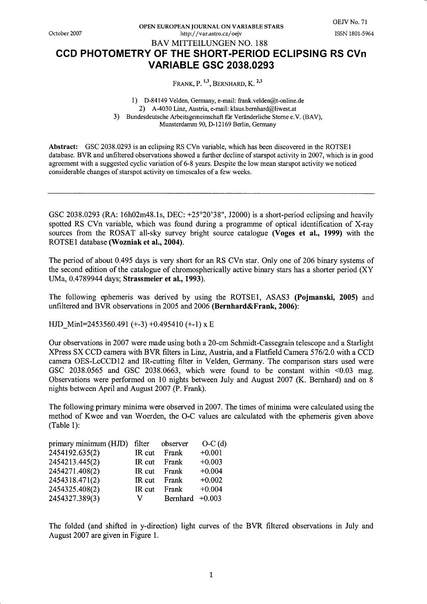October 2007

OPEN EUROPEAN JOURNAL ON VARIABLE STARS http://var.astro.cz/oejv

## **BAV MITTEILUNGEN NO. 188** CCD PHOTOMETRY OF THE SHORT-PERIOD ECLIPSING RS CVn **VARIABLE GSC 2038.0293**

FRANK, P.  $^{1,3}$ , BERNHARD, K.  $^{2,3}$ 

1) D-84149 Velden, Germany, e-mail: frank.velden@t-online.de 2) A-4030 Linz, Austria, e-mail: klaus.bernhard@liwest.at 3) Bundesdeutsche Arbeitsgemeinschaft für Veränderliche Sterne e.V. (BAV), Munsterdamm 90, D-12169 Berlin, Germany

Abstract: GSC 2038.0293 is an eclipsing RS CVn variable, which has been discovered in the ROTSE1 database. BVR and unfiltered observations showed a further decline of starspot activity in 2007, which is in good agreement with a suggested cyclic variation of 6-8 years. Despite the low mean starspot activity we noticed considerable changes of starspot activity on timescales of a few weeks.

GSC 2038.0293 (RA: 16h02m48.1s, DEC: +25°20'38", J2000) is a short-period eclipsing and heavily spotted RS CVn variable, which was found during a programme of optical identification of X-ray sources from the ROSAT all-sky survey bright source catalogue (Voges et al., 1999) with the ROTSE1 database (Wozniak et al., 2004).

The period of about 0.495 days is very short for an RS CVn star. Only one of 206 binary systems of the second edition of the catalogue of chromospherically active binary stars has a shorter period (XY) UMa, 0.4789944 days; Strassmeier et al., 1993).

The following ephemeris was derived by using the ROTSE1, ASAS3 (Pojmanski, 2005) and unfiltered and BVR observations in 2005 and 2006 (Bernhard&Frank, 2006):

HJD MinI=2453560.491 (+-3) +0.495410 (+-1)  $\times$  E

Our observations in 2007 were made using both a 20-cm Schmidt-Cassegrain telescope and a Starlight XPress SX CCD camera with BVR filters in Linz, Austria, and a Flatfield Camera 576/2.0 with a CCD camera OES-LcCCD12 and IR-cutting filter in Velden, Germany. The comparison stars used were GSC 2038.0565 and GSC 2038.0663, which were found to be constant within  $\leq 0.03$  mag. Observations were performed on 10 nights between July and August 2007 (K. Bernhard) and on 8 nights between April and August 2007 (P. Frank).

The following primary minima were observed in 2007. The times of minima were calculated using the method of Kwee and van Woerden, the O-C values are calculated with the ephemeris given above  $(Table 1):$ 

| filter | observer          | $O-C(d)$ |
|--------|-------------------|----------|
| IR cut | Frank             | $+0.001$ |
| IR cut | Frank             | $+0.003$ |
| IR cut | Frank             | $+0.004$ |
| IR cut | Frank             | $+0.002$ |
| IR cut | Frank             | $+0.004$ |
| V      | Bernhard $+0.003$ |          |
|        |                   |          |

The folded (and shifted in y-direction) light curves of the BVR filtered observations in July and August 2007 are given in Figure 1.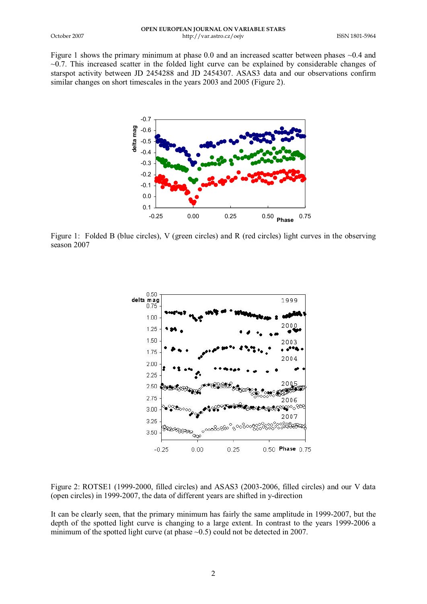Figure 1 shows the primary minimum at phase 0.0 and an increased scatter between phases ~0.4 and  $\sim$ 0.7. This increased scatter in the folded light curve can be explained by considerable changes of starspot activity between JD 2454288 and JD 2454307. ASAS3 data and our observations confirm similar changes on short timescales in the years 2003 and 2005 (Figure 2).



Figure 1: Folded B (blue circles), V (green circles) and R (red circles) light curves in the observing season 2007



Figure 2: ROTSE1 (1999-2000, filled circles) and ASAS3 (2003-2006, filled circles) and our V data (open circles) in 1999-2007, the data of different years are shifted in y-direction

It can be clearly seen, that the primary minimum has fairly the same amplitude in 1999-2007, but the depth of the spotted light curve is changing to a large extent. In contrast to the years 1999-2006 a minimum of the spotted light curve (at phase  $\sim 0.5$ ) could not be detected in 2007.